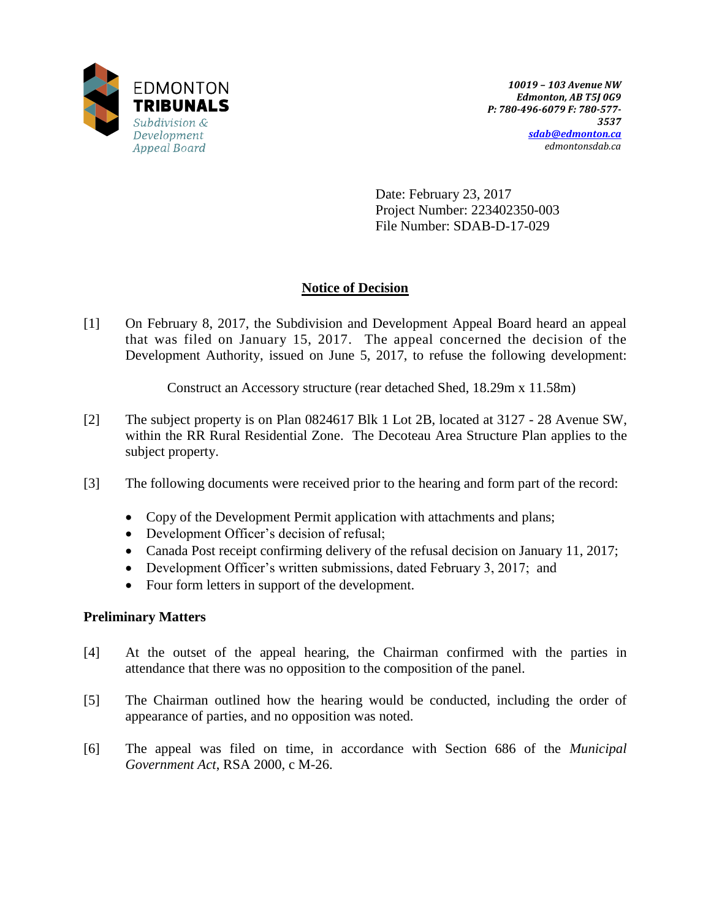

Date: February 23, 2017 Project Number: 223402350-003 File Number: SDAB-D-17-029

# **Notice of Decision**

[1] On February 8, 2017, the Subdivision and Development Appeal Board heard an appeal that was filed on January 15, 2017. The appeal concerned the decision of the Development Authority, issued on June 5, 2017, to refuse the following development:

Construct an Accessory structure (rear detached Shed, 18.29m x 11.58m)

- [2] The subject property is on Plan 0824617 Blk 1 Lot 2B, located at 3127 28 Avenue SW, within the RR Rural Residential Zone. The Decoteau Area Structure Plan applies to the subject property.
- [3] The following documents were received prior to the hearing and form part of the record:
	- Copy of the Development Permit application with attachments and plans;
	- Development Officer's decision of refusal;
	- Canada Post receipt confirming delivery of the refusal decision on January 11, 2017;
	- Development Officer's written submissions, dated February 3, 2017; and
	- Four form letters in support of the development.

## **Preliminary Matters**

- [4] At the outset of the appeal hearing, the Chairman confirmed with the parties in attendance that there was no opposition to the composition of the panel.
- [5] The Chairman outlined how the hearing would be conducted, including the order of appearance of parties, and no opposition was noted.
- [6] The appeal was filed on time, in accordance with Section 686 of the *Municipal Government Act*, RSA 2000, c M-26.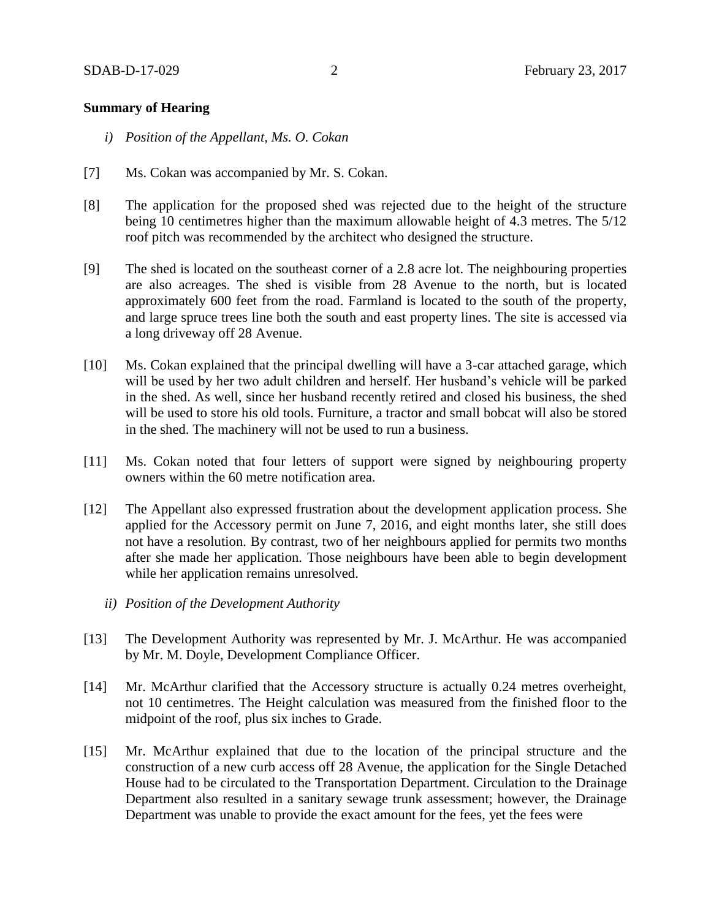### **Summary of Hearing**

- *i) Position of the Appellant, Ms. O. Cokan*
- [7] Ms. Cokan was accompanied by Mr. S. Cokan.
- [8] The application for the proposed shed was rejected due to the height of the structure being 10 centimetres higher than the maximum allowable height of 4.3 metres. The 5/12 roof pitch was recommended by the architect who designed the structure.
- [9] The shed is located on the southeast corner of a 2.8 acre lot. The neighbouring properties are also acreages. The shed is visible from 28 Avenue to the north, but is located approximately 600 feet from the road. Farmland is located to the south of the property, and large spruce trees line both the south and east property lines. The site is accessed via a long driveway off 28 Avenue.
- [10] Ms. Cokan explained that the principal dwelling will have a 3-car attached garage, which will be used by her two adult children and herself. Her husband's vehicle will be parked in the shed. As well, since her husband recently retired and closed his business, the shed will be used to store his old tools. Furniture, a tractor and small bobcat will also be stored in the shed. The machinery will not be used to run a business.
- [11] Ms. Cokan noted that four letters of support were signed by neighbouring property owners within the 60 metre notification area.
- [12] The Appellant also expressed frustration about the development application process. She applied for the Accessory permit on June 7, 2016, and eight months later, she still does not have a resolution. By contrast, two of her neighbours applied for permits two months after she made her application. Those neighbours have been able to begin development while her application remains unresolved.
	- *ii) Position of the Development Authority*
- [13] The Development Authority was represented by Mr. J. McArthur. He was accompanied by Mr. M. Doyle, Development Compliance Officer.
- [14] Mr. McArthur clarified that the Accessory structure is actually 0.24 metres overheight, not 10 centimetres. The Height calculation was measured from the finished floor to the midpoint of the roof, plus six inches to Grade.
- [15] Mr. McArthur explained that due to the location of the principal structure and the construction of a new curb access off 28 Avenue, the application for the Single Detached House had to be circulated to the Transportation Department. Circulation to the Drainage Department also resulted in a sanitary sewage trunk assessment; however, the Drainage Department was unable to provide the exact amount for the fees, yet the fees were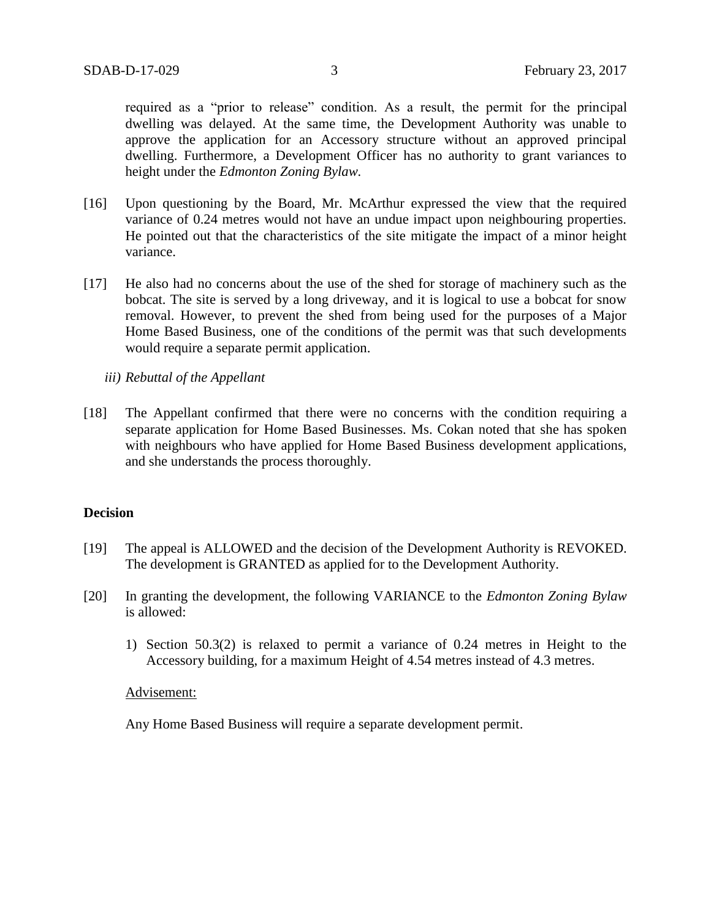required as a "prior to release" condition. As a result, the permit for the principal dwelling was delayed. At the same time, the Development Authority was unable to approve the application for an Accessory structure without an approved principal dwelling. Furthermore, a Development Officer has no authority to grant variances to height under the *Edmonton Zoning Bylaw.*

- [16] Upon questioning by the Board, Mr. McArthur expressed the view that the required variance of 0.24 metres would not have an undue impact upon neighbouring properties. He pointed out that the characteristics of the site mitigate the impact of a minor height variance.
- [17] He also had no concerns about the use of the shed for storage of machinery such as the bobcat. The site is served by a long driveway, and it is logical to use a bobcat for snow removal. However, to prevent the shed from being used for the purposes of a Major Home Based Business, one of the conditions of the permit was that such developments would require a separate permit application.
	- *iii) Rebuttal of the Appellant*
- [18] The Appellant confirmed that there were no concerns with the condition requiring a separate application for Home Based Businesses. Ms. Cokan noted that she has spoken with neighbours who have applied for Home Based Business development applications, and she understands the process thoroughly.

## **Decision**

- [19] The appeal is ALLOWED and the decision of the Development Authority is REVOKED. The development is GRANTED as applied for to the Development Authority.
- [20] In granting the development, the following VARIANCE to the *Edmonton Zoning Bylaw* is allowed:
	- 1) Section 50.3(2) is relaxed to permit a variance of 0.24 metres in Height to the Accessory building, for a maximum Height of 4.54 metres instead of 4.3 metres.

#### Advisement:

Any Home Based Business will require a separate development permit.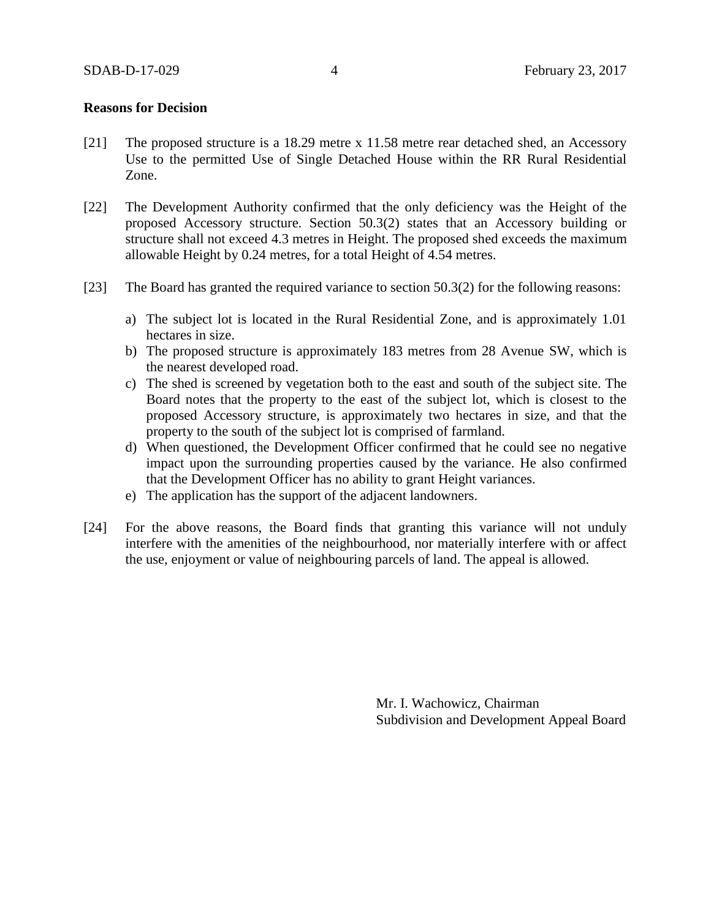### **Reasons for Decision**

- [21] The proposed structure is a 18.29 metre x 11.58 metre rear detached shed, an Accessory Use to the permitted Use of Single Detached House within the RR Rural Residential Zone.
- [22] The Development Authority confirmed that the only deficiency was the Height of the proposed Accessory structure. Section 50.3(2) states that an Accessory building or structure shall not exceed 4.3 metres in Height. The proposed shed exceeds the maximum allowable Height by 0.24 metres, for a total Height of 4.54 metres.
- [23] The Board has granted the required variance to section 50.3(2) for the following reasons:
	- a) The subject lot is located in the Rural Residential Zone, and is approximately 1.01 hectares in size.
	- b) The proposed structure is approximately 183 metres from 28 Avenue SW, which is the nearest developed road.
	- c) The shed is screened by vegetation both to the east and south of the subject site. The Board notes that the property to the east of the subject lot, which is closest to the proposed Accessory structure, is approximately two hectares in size, and that the property to the south of the subject lot is comprised of farmland.
	- d) When questioned, the Development Officer confirmed that he could see no negative impact upon the surrounding properties caused by the variance. He also confirmed that the Development Officer has no ability to grant Height variances.
	- e) The application has the support of the adjacent landowners.
- [24] For the above reasons, the Board finds that granting this variance will not unduly interfere with the amenities of the neighbourhood, nor materially interfere with or affect the use, enjoyment or value of neighbouring parcels of land. The appeal is allowed.

Mr. I. Wachowicz, Chairman Subdivision and Development Appeal Board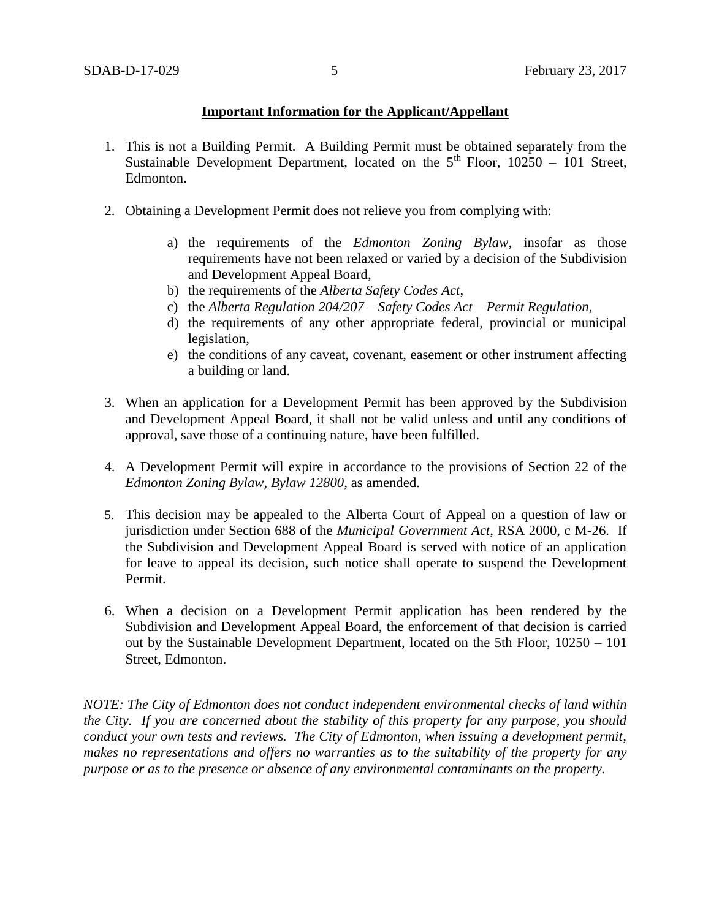## **Important Information for the Applicant/Appellant**

- 1. This is not a Building Permit. A Building Permit must be obtained separately from the Sustainable Development Department, located on the  $5<sup>th</sup>$  Floor, 10250 – 101 Street, Edmonton.
- 2. Obtaining a Development Permit does not relieve you from complying with:
	- a) the requirements of the *Edmonton Zoning Bylaw*, insofar as those requirements have not been relaxed or varied by a decision of the Subdivision and Development Appeal Board,
	- b) the requirements of the *Alberta Safety Codes Act*,
	- c) the *Alberta Regulation 204/207 – Safety Codes Act – Permit Regulation*,
	- d) the requirements of any other appropriate federal, provincial or municipal legislation,
	- e) the conditions of any caveat, covenant, easement or other instrument affecting a building or land.
- 3. When an application for a Development Permit has been approved by the Subdivision and Development Appeal Board, it shall not be valid unless and until any conditions of approval, save those of a continuing nature, have been fulfilled.
- 4. A Development Permit will expire in accordance to the provisions of Section 22 of the *Edmonton Zoning Bylaw, Bylaw 12800*, as amended.
- 5. This decision may be appealed to the Alberta Court of Appeal on a question of law or jurisdiction under Section 688 of the *Municipal Government Act*, RSA 2000, c M-26. If the Subdivision and Development Appeal Board is served with notice of an application for leave to appeal its decision, such notice shall operate to suspend the Development Permit.
- 6. When a decision on a Development Permit application has been rendered by the Subdivision and Development Appeal Board, the enforcement of that decision is carried out by the Sustainable Development Department, located on the 5th Floor, 10250 – 101 Street, Edmonton.

*NOTE: The City of Edmonton does not conduct independent environmental checks of land within the City. If you are concerned about the stability of this property for any purpose, you should conduct your own tests and reviews. The City of Edmonton, when issuing a development permit, makes no representations and offers no warranties as to the suitability of the property for any purpose or as to the presence or absence of any environmental contaminants on the property.*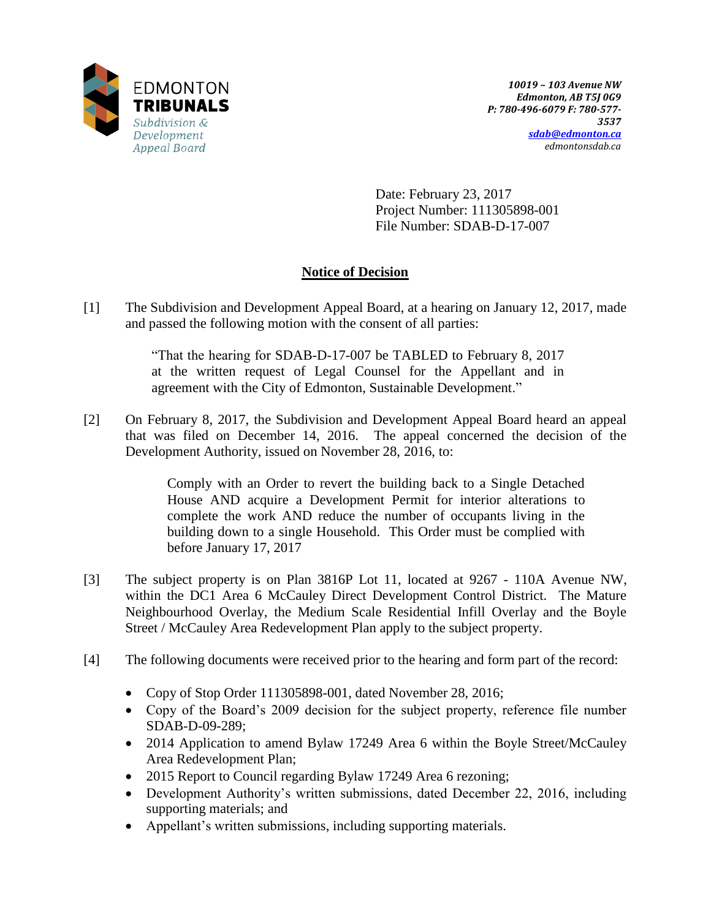

Date: February 23, 2017 Project Number: 111305898-001 File Number: SDAB-D-17-007

# **Notice of Decision**

[1] The Subdivision and Development Appeal Board, at a hearing on January 12, 2017, made and passed the following motion with the consent of all parties:

> "That the hearing for SDAB-D-17-007 be TABLED to February 8, 2017 at the written request of Legal Counsel for the Appellant and in agreement with the City of Edmonton, Sustainable Development."

[2] On February 8, 2017, the Subdivision and Development Appeal Board heard an appeal that was filed on December 14, 2016. The appeal concerned the decision of the Development Authority, issued on November 28, 2016, to:

> Comply with an Order to revert the building back to a Single Detached House AND acquire a Development Permit for interior alterations to complete the work AND reduce the number of occupants living in the building down to a single Household. This Order must be complied with before January 17, 2017

- [3] The subject property is on Plan 3816P Lot 11, located at 9267 110A Avenue NW, within the DC1 Area 6 McCauley Direct Development Control District. The Mature Neighbourhood Overlay, the Medium Scale Residential Infill Overlay and the Boyle Street / McCauley Area Redevelopment Plan apply to the subject property.
- [4] The following documents were received prior to the hearing and form part of the record:
	- Copy of Stop Order 111305898-001, dated November 28, 2016;
	- Copy of the Board's 2009 decision for the subject property, reference file number SDAB-D-09-289;
	- 2014 Application to amend Bylaw 17249 Area 6 within the Boyle Street/McCauley Area Redevelopment Plan;
	- 2015 Report to Council regarding Bylaw 17249 Area 6 rezoning;
	- Development Authority's written submissions, dated December 22, 2016, including supporting materials; and
	- Appellant's written submissions, including supporting materials.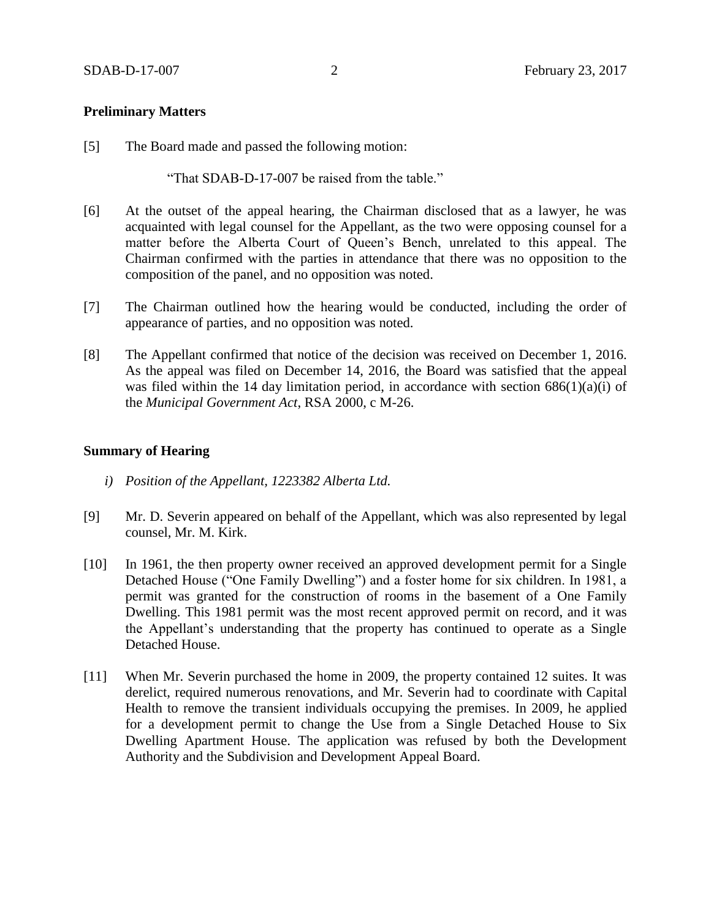### **Preliminary Matters**

[5] The Board made and passed the following motion:

"That SDAB-D-17-007 be raised from the table."

- [6] At the outset of the appeal hearing, the Chairman disclosed that as a lawyer, he was acquainted with legal counsel for the Appellant, as the two were opposing counsel for a matter before the Alberta Court of Queen's Bench, unrelated to this appeal. The Chairman confirmed with the parties in attendance that there was no opposition to the composition of the panel, and no opposition was noted.
- [7] The Chairman outlined how the hearing would be conducted, including the order of appearance of parties, and no opposition was noted.
- [8] The Appellant confirmed that notice of the decision was received on December 1, 2016. As the appeal was filed on December 14, 2016, the Board was satisfied that the appeal was filed within the 14 day limitation period, in accordance with section  $686(1)(a)(i)$  of the *Municipal Government Act*, RSA 2000, c M-26.

### **Summary of Hearing**

- *i) Position of the Appellant, 1223382 Alberta Ltd.*
- [9] Mr. D. Severin appeared on behalf of the Appellant, which was also represented by legal counsel, Mr. M. Kirk.
- [10] In 1961, the then property owner received an approved development permit for a Single Detached House ("One Family Dwelling") and a foster home for six children. In 1981, a permit was granted for the construction of rooms in the basement of a One Family Dwelling. This 1981 permit was the most recent approved permit on record, and it was the Appellant's understanding that the property has continued to operate as a Single Detached House.
- [11] When Mr. Severin purchased the home in 2009, the property contained 12 suites. It was derelict, required numerous renovations, and Mr. Severin had to coordinate with Capital Health to remove the transient individuals occupying the premises. In 2009, he applied for a development permit to change the Use from a Single Detached House to Six Dwelling Apartment House. The application was refused by both the Development Authority and the Subdivision and Development Appeal Board.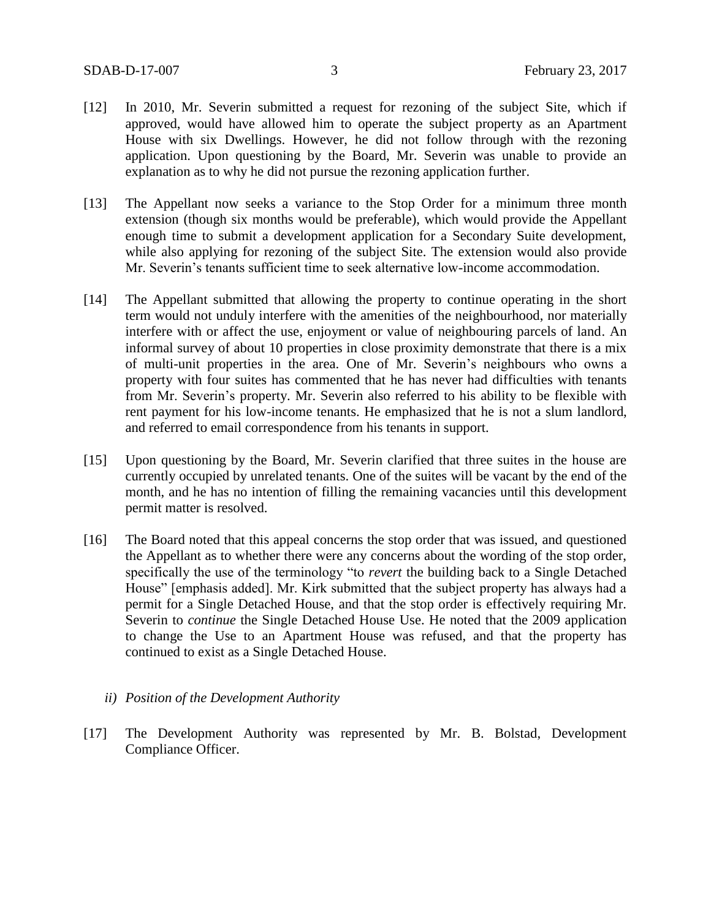- [12] In 2010, Mr. Severin submitted a request for rezoning of the subject Site, which if approved, would have allowed him to operate the subject property as an Apartment House with six Dwellings. However, he did not follow through with the rezoning application. Upon questioning by the Board, Mr. Severin was unable to provide an explanation as to why he did not pursue the rezoning application further.
- [13] The Appellant now seeks a variance to the Stop Order for a minimum three month extension (though six months would be preferable), which would provide the Appellant enough time to submit a development application for a Secondary Suite development, while also applying for rezoning of the subject Site. The extension would also provide Mr. Severin's tenants sufficient time to seek alternative low-income accommodation.
- [14] The Appellant submitted that allowing the property to continue operating in the short term would not unduly interfere with the amenities of the neighbourhood, nor materially interfere with or affect the use, enjoyment or value of neighbouring parcels of land. An informal survey of about 10 properties in close proximity demonstrate that there is a mix of multi-unit properties in the area. One of Mr. Severin's neighbours who owns a property with four suites has commented that he has never had difficulties with tenants from Mr. Severin's property. Mr. Severin also referred to his ability to be flexible with rent payment for his low-income tenants. He emphasized that he is not a slum landlord, and referred to email correspondence from his tenants in support.
- [15] Upon questioning by the Board, Mr. Severin clarified that three suites in the house are currently occupied by unrelated tenants. One of the suites will be vacant by the end of the month, and he has no intention of filling the remaining vacancies until this development permit matter is resolved.
- [16] The Board noted that this appeal concerns the stop order that was issued, and questioned the Appellant as to whether there were any concerns about the wording of the stop order, specifically the use of the terminology "to *revert* the building back to a Single Detached House" [emphasis added]. Mr. Kirk submitted that the subject property has always had a permit for a Single Detached House, and that the stop order is effectively requiring Mr. Severin to *continue* the Single Detached House Use. He noted that the 2009 application to change the Use to an Apartment House was refused, and that the property has continued to exist as a Single Detached House.
	- *ii) Position of the Development Authority*
- [17] The Development Authority was represented by Mr. B. Bolstad, Development Compliance Officer.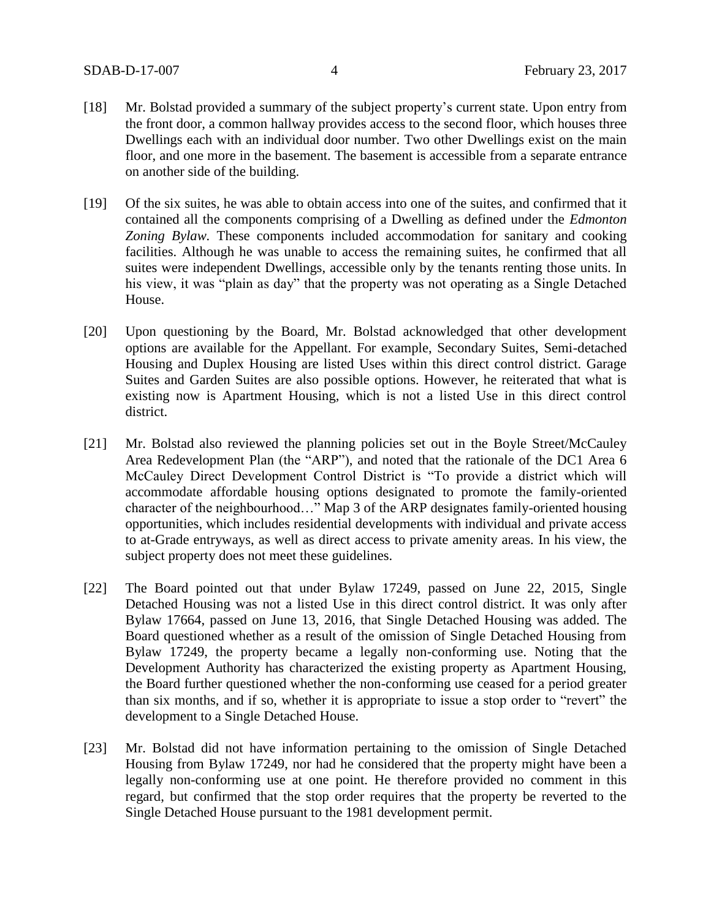- [18] Mr. Bolstad provided a summary of the subject property's current state. Upon entry from the front door, a common hallway provides access to the second floor, which houses three Dwellings each with an individual door number. Two other Dwellings exist on the main floor, and one more in the basement. The basement is accessible from a separate entrance on another side of the building.
- [19] Of the six suites, he was able to obtain access into one of the suites, and confirmed that it contained all the components comprising of a Dwelling as defined under the *Edmonton Zoning Bylaw.* These components included accommodation for sanitary and cooking facilities. Although he was unable to access the remaining suites, he confirmed that all suites were independent Dwellings, accessible only by the tenants renting those units. In his view, it was "plain as day" that the property was not operating as a Single Detached House.
- [20] Upon questioning by the Board, Mr. Bolstad acknowledged that other development options are available for the Appellant. For example, Secondary Suites, Semi-detached Housing and Duplex Housing are listed Uses within this direct control district. Garage Suites and Garden Suites are also possible options. However, he reiterated that what is existing now is Apartment Housing, which is not a listed Use in this direct control district.
- [21] Mr. Bolstad also reviewed the planning policies set out in the Boyle Street/McCauley Area Redevelopment Plan (the "ARP"), and noted that the rationale of the DC1 Area 6 McCauley Direct Development Control District is "To provide a district which will accommodate affordable housing options designated to promote the family-oriented character of the neighbourhood…" Map 3 of the ARP designates family-oriented housing opportunities, which includes residential developments with individual and private access to at-Grade entryways, as well as direct access to private amenity areas. In his view, the subject property does not meet these guidelines.
- [22] The Board pointed out that under Bylaw 17249, passed on June 22, 2015, Single Detached Housing was not a listed Use in this direct control district. It was only after Bylaw 17664, passed on June 13, 2016, that Single Detached Housing was added. The Board questioned whether as a result of the omission of Single Detached Housing from Bylaw 17249, the property became a legally non-conforming use. Noting that the Development Authority has characterized the existing property as Apartment Housing, the Board further questioned whether the non-conforming use ceased for a period greater than six months, and if so, whether it is appropriate to issue a stop order to "revert" the development to a Single Detached House.
- [23] Mr. Bolstad did not have information pertaining to the omission of Single Detached Housing from Bylaw 17249, nor had he considered that the property might have been a legally non-conforming use at one point. He therefore provided no comment in this regard, but confirmed that the stop order requires that the property be reverted to the Single Detached House pursuant to the 1981 development permit.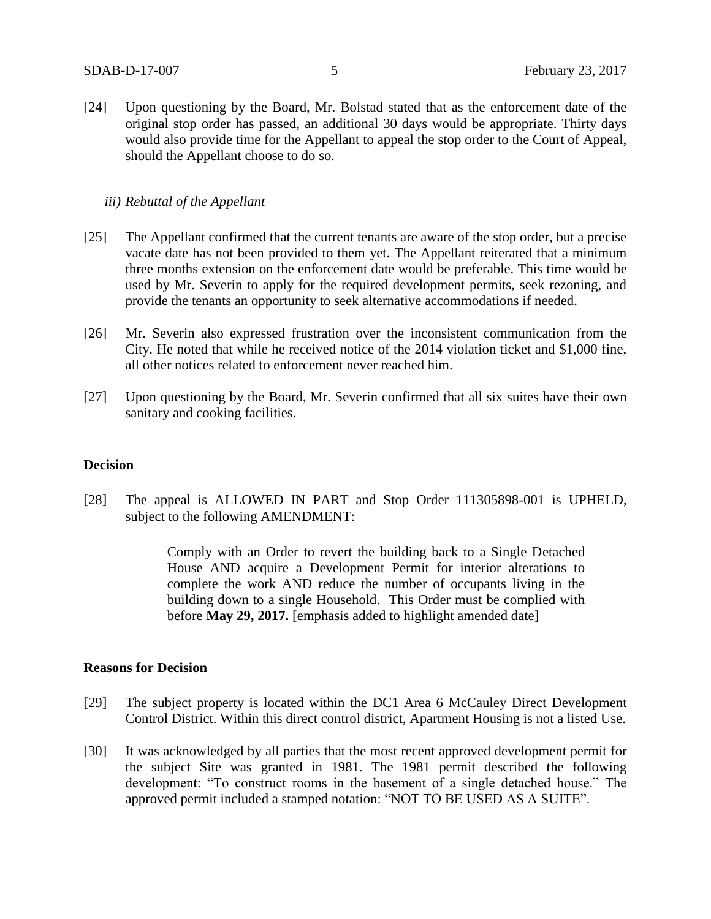[24] Upon questioning by the Board, Mr. Bolstad stated that as the enforcement date of the original stop order has passed, an additional 30 days would be appropriate. Thirty days would also provide time for the Appellant to appeal the stop order to the Court of Appeal, should the Appellant choose to do so.

### *iii) Rebuttal of the Appellant*

- [25] The Appellant confirmed that the current tenants are aware of the stop order, but a precise vacate date has not been provided to them yet. The Appellant reiterated that a minimum three months extension on the enforcement date would be preferable. This time would be used by Mr. Severin to apply for the required development permits, seek rezoning, and provide the tenants an opportunity to seek alternative accommodations if needed.
- [26] Mr. Severin also expressed frustration over the inconsistent communication from the City. He noted that while he received notice of the 2014 violation ticket and \$1,000 fine, all other notices related to enforcement never reached him.
- [27] Upon questioning by the Board, Mr. Severin confirmed that all six suites have their own sanitary and cooking facilities.

### **Decision**

[28] The appeal is ALLOWED IN PART and Stop Order 111305898-001 is UPHELD, subject to the following AMENDMENT:

> Comply with an Order to revert the building back to a Single Detached House AND acquire a Development Permit for interior alterations to complete the work AND reduce the number of occupants living in the building down to a single Household. This Order must be complied with before **May 29, 2017.** [emphasis added to highlight amended date]

### **Reasons for Decision**

- [29] The subject property is located within the DC1 Area 6 McCauley Direct Development Control District. Within this direct control district, Apartment Housing is not a listed Use.
- [30] It was acknowledged by all parties that the most recent approved development permit for the subject Site was granted in 1981. The 1981 permit described the following development: "To construct rooms in the basement of a single detached house." The approved permit included a stamped notation: "NOT TO BE USED AS A SUITE".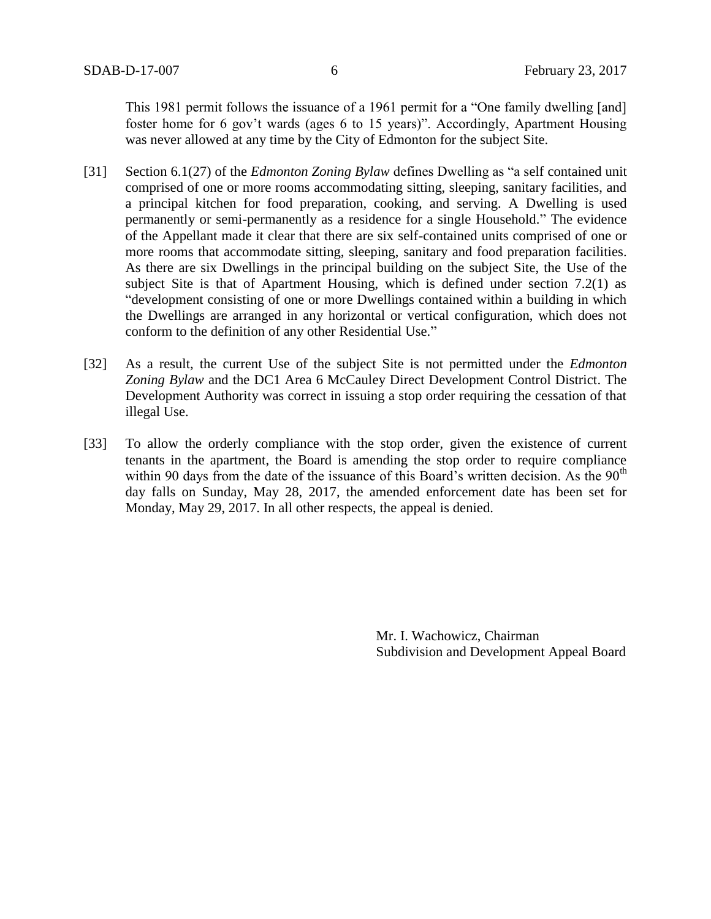This 1981 permit follows the issuance of a 1961 permit for a "One family dwelling [and] foster home for 6 gov't wards (ages 6 to 15 years)". Accordingly, Apartment Housing was never allowed at any time by the City of Edmonton for the subject Site.

- [31] Section 6.1(27) of the *Edmonton Zoning Bylaw* defines Dwelling as "a self contained unit comprised of one or more rooms accommodating sitting, sleeping, sanitary facilities, and a principal kitchen for food preparation, cooking, and serving. A Dwelling is used permanently or semi-permanently as a residence for a single Household." The evidence of the Appellant made it clear that there are six self-contained units comprised of one or more rooms that accommodate sitting, sleeping, sanitary and food preparation facilities. As there are six Dwellings in the principal building on the subject Site, the Use of the subject Site is that of Apartment Housing, which is defined under section 7.2(1) as "development consisting of one or more Dwellings contained within a building in which the Dwellings are arranged in any horizontal or vertical configuration, which does not conform to the definition of any other Residential Use."
- [32] As a result, the current Use of the subject Site is not permitted under the *Edmonton Zoning Bylaw* and the DC1 Area 6 McCauley Direct Development Control District. The Development Authority was correct in issuing a stop order requiring the cessation of that illegal Use.
- [33] To allow the orderly compliance with the stop order, given the existence of current tenants in the apartment, the Board is amending the stop order to require compliance within 90 days from the date of the issuance of this Board's written decision. As the  $90<sup>th</sup>$ day falls on Sunday, May 28, 2017, the amended enforcement date has been set for Monday, May 29, 2017. In all other respects, the appeal is denied.

Mr. I. Wachowicz, Chairman Subdivision and Development Appeal Board